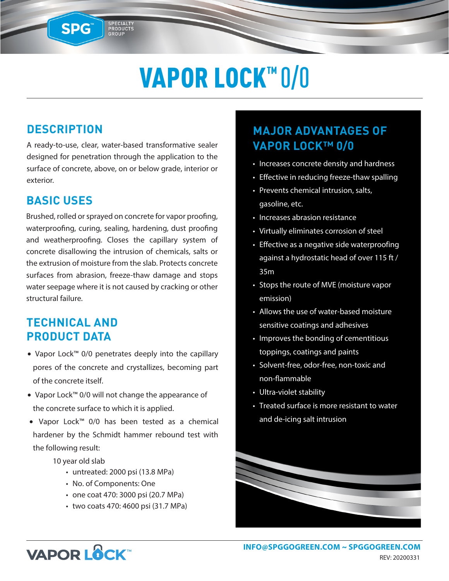# VAPOR LOCK™ 0/0

### **DESCRIPTION**

SPG™

A ready-to-use, clear, water-based transformative sealer designed for penetration through the application to the surface of concrete, above, on or below grade, interior or exterior.

SPECIALTY<br>PRODUCTS<br>GROUP

#### **BASIC USES**

Brushed, rolled or sprayed on concrete for vapor proofing, waterproofing, curing, sealing, hardening, dust proofing and weatherproofing. Closes the capillary system of concrete disallowing the intrusion of chemicals, salts or the extrusion of moisture from the slab. Protects concrete surfaces from abrasion, freeze-thaw damage and stops water seepage where it is not caused by cracking or other structural failure.

#### **TECHNICAL AND PRODUCT DATA**

- Vapor Lock™ 0/0 penetrates deeply into the capillary pores of the concrete and crystallizes, becoming part of the concrete itself.
- Vapor Lock™ 0/0 will not change the appearance of the concrete surface to which it is applied.
- Vapor Lock™ 0/0 has been tested as a chemical hardener by the Schmidt hammer rebound test with the following result:

10 year old slab

- untreated: 2000 psi (13.8 MPa)
- No. of Components: One
- one coat 470: 3000 psi (20.7 MPa)
- two coats 470: 4600 psi (31.7 MPa)

## **MAJOR ADVANTAGES OF VAPOR LOCK™ 0/0**

- Increases concrete density and hardness
- Effective in reducing freeze-thaw spalling
- Prevents chemical intrusion, salts, gasoline, etc.
- Increases abrasion resistance
- Virtually eliminates corrosion of steel
- Effective as a negative side waterproofing against a hydrostatic head of over 115 ft / 35m
- Stops the route of MVE (moisture vapor emission)
- Allows the use of water-based moisture sensitive coatings and adhesives
- Improves the bonding of cementitious toppings, coatings and paints
- Solvent-free, odor-free, non-toxic and non-flammable
- Ultra-violet stability
- Treated surface is more resistant to water and de-icing salt intrusion



# **VAPOR LOCK**

**INFO@SPGGOGREEN.COM ~ [SPGGOGREEN.COM](https://spggogreen.com)** REV: 20200331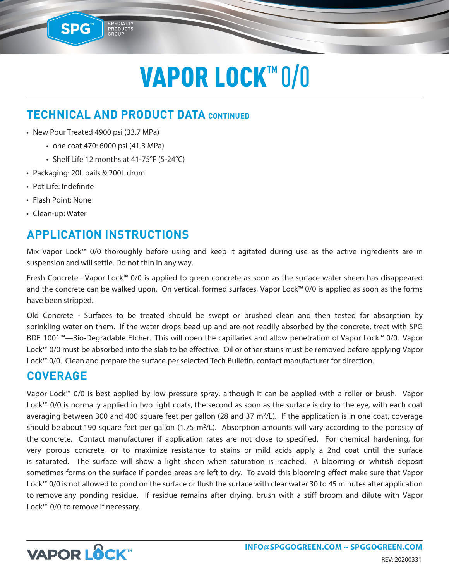# VAPOR LOCK™ 0/0

### **TECHNICAL AND PRODUCT DATA CONTINUED**

• New Pour Treated 4900 psi (33.7 MPa)

SPG

- one coat 470: 6000 psi (41.3 MPa)
- Shelf Life 12 months at 41-75°F (5-24°C)

SPECIALTY<br>PRODUCTS<br>GROUP

- Packaging: 20L pails & 200L drum
- Pot Life: Indefinite
- Flash Point: None
- Clean-up: Water

### **APPLICATION INSTRUCTIONS**

Mix Vapor Lock™ 0/0 thoroughly before using and keep it agitated during use as the active ingredients are in suspension and will settle. Do not thin in any way.

Fresh Concrete - Vapor Lock™ 0/0 is applied to green concrete as soon as the surface water sheen has disappeared and the concrete can be walked upon. On vertical, formed surfaces, Vapor Lock™ 0/0 is applied as soon as the forms have been stripped.

Old Concrete - Surfaces to be treated should be swept or brushed clean and then tested for absorption by sprinkling water on them. If the water drops bead up and are not readily absorbed by the concrete, treat with SPG BDE 1001™—Bio-Degradable Etcher. This will open the capillaries and allow penetration of Vapor Lock™ 0/0. Vapor Lock™ 0/0 must be absorbed into the slab to be effective. Oil or other stains must be removed before applying Vapor Lock™ 0/0. Clean and prepare the surface per selected Tech Bulletin, contact manufacturer for direction.

#### **COVERAGE**

Vapor Lock™ 0/0 is best applied by low pressure spray, although it can be applied with a roller or brush. Vapor Lock™ 0/0 is normally applied in two light coats, the second as soon as the surface is dry to the eye, with each coat averaging between 300 and 400 square feet per gallon (28 and 37 m<sup>2</sup>/L). If the application is in one coat, coverage should be about 190 square feet per gallon (1.75 m<sup>2</sup>/L). Absorption amounts will vary according to the porosity of the concrete. Contact manufacturer if application rates are not close to specified. For chemical hardening, for very porous concrete, or to maximize resistance to stains or mild acids apply a 2nd coat until the surface is saturated. The surface will show a light sheen when saturation is reached. A blooming or whitish deposit sometimes forms on the surface if ponded areas are left to dry. To avoid this blooming effect make sure that Vapor Lock™ 0/0 is not allowed to pond on the surface or flush the surface with clear water 30 to 45 minutes after application to remove any ponding residue. If residue remains after drying, brush with a stiff broom and dilute with Vapor Lock™ 0/0 to remove if necessary.